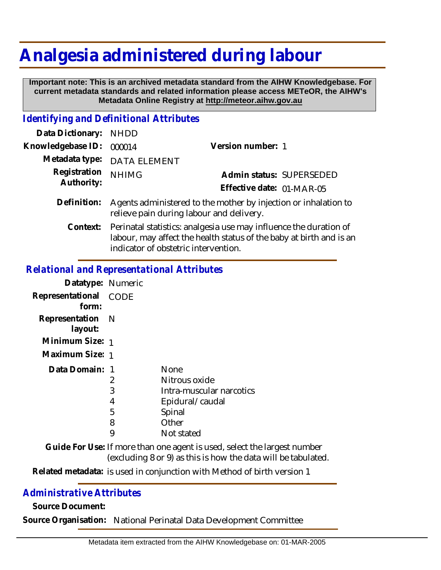## **Analgesia administered during labour**

 **Important note: This is an archived metadata standard from the AIHW Knowledgebase. For current metadata standards and related information please access METeOR, the AIHW's Metadata Online Registry at http://meteor.aihw.gov.au**

## *Identifying and Definitional Attributes*

| Data Dictionary:           | <b>NHDD</b>                                                                                                                                                                               |                           |
|----------------------------|-------------------------------------------------------------------------------------------------------------------------------------------------------------------------------------------|---------------------------|
| Knowledgebase ID:          | 000014                                                                                                                                                                                    | Version number: 1         |
| Metadata type:             | <b>DATA ELEMENT</b>                                                                                                                                                                       |                           |
| Registration<br>Authority: | <b>NHIMG</b>                                                                                                                                                                              | Admin status: SUPERSEDED  |
|                            |                                                                                                                                                                                           | Effective date: 01-MAR-05 |
| Definition:                | Agents administered to the mother by injection or inhalation to<br>relieve pain during labour and delivery.                                                                               |                           |
|                            | Context: Perinatal statistics: analgesia use may influence the duration of<br>labour, may affect the health status of the baby at birth and is an<br>indicator of obstetric intervention. |                           |

## *Relational and Representational Attributes*

| Datatype: Numeric              |     |                                                                                                                                           |  |
|--------------------------------|-----|-------------------------------------------------------------------------------------------------------------------------------------------|--|
| Representational CODE<br>form: |     |                                                                                                                                           |  |
| Representation<br>layout:      | – N |                                                                                                                                           |  |
| Minimum Size: 1                |     |                                                                                                                                           |  |
| Maximum Size: 1                |     |                                                                                                                                           |  |
| Data Domain: 1                 |     | <b>None</b>                                                                                                                               |  |
|                                | 2   | Nitrous oxide                                                                                                                             |  |
|                                | 3   | Intra-muscular narcotics                                                                                                                  |  |
|                                | 4   | Epidural/caudal                                                                                                                           |  |
|                                | 5   | Spinal                                                                                                                                    |  |
|                                | 8   | Other                                                                                                                                     |  |
|                                | 9   | Not stated                                                                                                                                |  |
|                                |     | Guide For Use: If more than one agent is used, select the largest number<br>(excluding 8 or 9) as this is how the data will be tabulated. |  |
|                                |     |                                                                                                                                           |  |

Related metadata: is used in conjunction with Method of birth version 1

## *Administrative Attributes*

**Source Document:**

**Source Organisation:** National Perinatal Data Development Committee